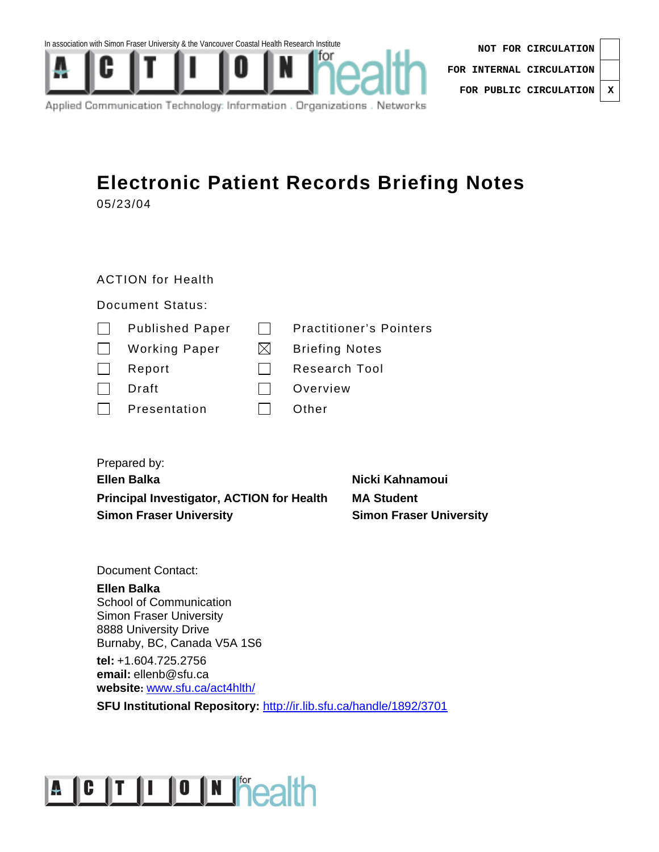





Applied Communication Technology: Information . Organizations . Networks

## **Electronic Patient Records Briefing Notes**  05/23/04

#### ACTION for Health

#### Document Status:

| $\mathbf{I}$ | <b>Published Paper</b> |     | <b>Practitioner's Pointers</b> |
|--------------|------------------------|-----|--------------------------------|
| $\mathbf{L}$ | <b>Working Paper</b>   | IXI | <b>Briefing Notes</b>          |
|              | Report                 |     | <b>Research Tool</b>           |
|              | Draft                  |     | Overview                       |
|              | Presentation           |     | Other                          |
|              |                        |     |                                |

| Prepared by:                                     |                                |
|--------------------------------------------------|--------------------------------|
| Ellen Balka                                      | Nicki Kahnamoui                |
| <b>Principal Investigator, ACTION for Health</b> | <b>MA Student</b>              |
| <b>Simon Fraser University</b>                   | <b>Simon Fraser University</b> |

Document Contact:

#### **Ellen Balka**  School of Communication Simon Fraser University 8888 University Drive Burnaby, BC, Canada V5A 1S6

**tel:** +1.604.725.2756 **email:** ellenb@sfu.ca **website:** www.sfu.ca/act4hlth/

**SFU Institutional Repository:** http://ir.lib.sfu.ca/handle/1892/3701